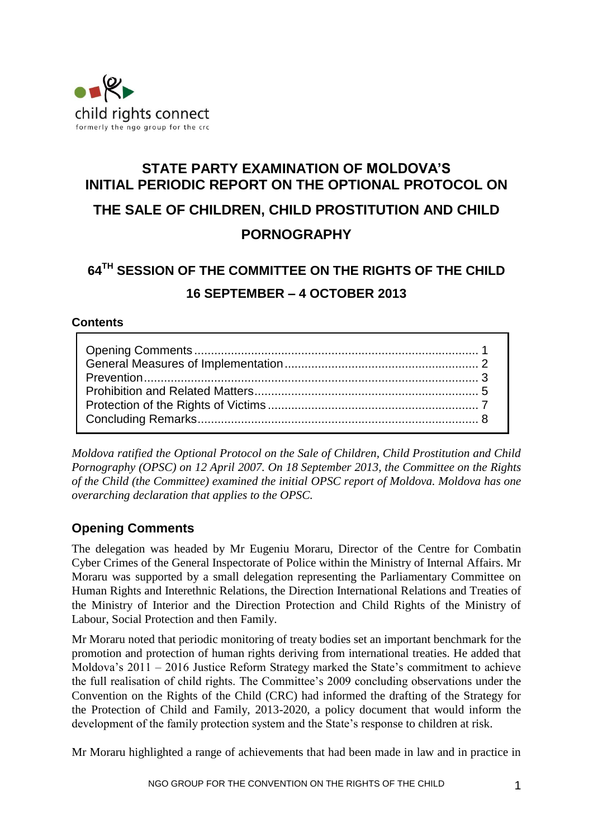

# **STATE PARTY EXAMINATION OF MOLDOVA'S INITIAL PERIODIC REPORT ON THE OPTIONAL PROTOCOL ON THE SALE OF CHILDREN, CHILD PROSTITUTION AND CHILD PORNOGRAPHY**

# **64 TH SESSION OF THE COMMITTEE ON THE RIGHTS OF THE CHILD 16 SEPTEMBER – 4 OCTOBER 2013**

## **Contents**

*Moldova ratified the Optional Protocol on the Sale of Children, Child Prostitution and Child Pornography (OPSC) on 12 April 2007. On 18 September 2013, the Committee on the Rights of the Child (the Committee) examined the initial OPSC report of Moldova. Moldova has one overarching declaration that applies to the OPSC.*

# <span id="page-0-0"></span>**Opening Comments**

The delegation was headed by Mr Eugeniu Moraru, Director of the Centre for Combatin Cyber Crimes of the General Inspectorate of Police within the Ministry of Internal Affairs. Mr Moraru was supported by a small delegation representing the Parliamentary Committee on Human Rights and Interethnic Relations, the Direction International Relations and Treaties of the Ministry of Interior and the Direction Protection and Child Rights of the Ministry of Labour, Social Protection and then Family.

Mr Moraru noted that periodic monitoring of treaty bodies set an important benchmark for the promotion and protection of human rights deriving from international treaties. He added that Moldova's 2011 – 2016 Justice Reform Strategy marked the State's commitment to achieve the full realisation of child rights. The Committee's 2009 concluding observations under the Convention on the Rights of the Child (CRC) had informed the drafting of the Strategy for the Protection of Child and Family, 2013-2020, a policy document that would inform the development of the family protection system and the State's response to children at risk.

Mr Moraru highlighted a range of achievements that had been made in law and in practice in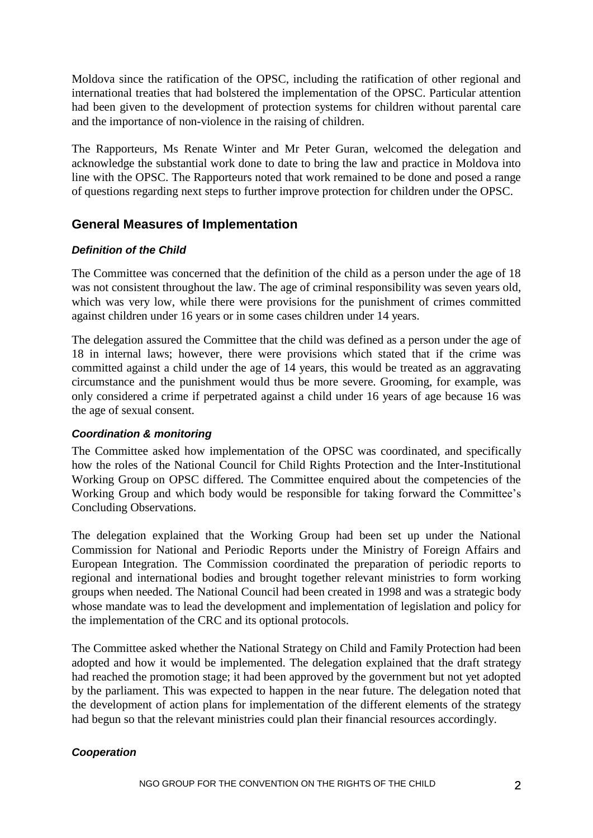Moldova since the ratification of the OPSC, including the ratification of other regional and international treaties that had bolstered the implementation of the OPSC. Particular attention had been given to the development of protection systems for children without parental care and the importance of non-violence in the raising of children.

The Rapporteurs, Ms Renate Winter and Mr Peter Guran, welcomed the delegation and acknowledge the substantial work done to date to bring the law and practice in Moldova into line with the OPSC. The Rapporteurs noted that work remained to be done and posed a range of questions regarding next steps to further improve protection for children under the OPSC.

## <span id="page-1-0"></span>**General Measures of Implementation**

#### *Definition of the Child*

The Committee was concerned that the definition of the child as a person under the age of 18 was not consistent throughout the law. The age of criminal responsibility was seven years old, which was very low, while there were provisions for the punishment of crimes committed against children under 16 years or in some cases children under 14 years.

The delegation assured the Committee that the child was defined as a person under the age of 18 in internal laws; however, there were provisions which stated that if the crime was committed against a child under the age of 14 years, this would be treated as an aggravating circumstance and the punishment would thus be more severe. Grooming, for example, was only considered a crime if perpetrated against a child under 16 years of age because 16 was the age of sexual consent.

## *Coordination & monitoring*

The Committee asked how implementation of the OPSC was coordinated, and specifically how the roles of the National Council for Child Rights Protection and the Inter-Institutional Working Group on OPSC differed. The Committee enquired about the competencies of the Working Group and which body would be responsible for taking forward the Committee's Concluding Observations.

The delegation explained that the Working Group had been set up under the National Commission for National and Periodic Reports under the Ministry of Foreign Affairs and European Integration. The Commission coordinated the preparation of periodic reports to regional and international bodies and brought together relevant ministries to form working groups when needed. The National Council had been created in 1998 and was a strategic body whose mandate was to lead the development and implementation of legislation and policy for the implementation of the CRC and its optional protocols.

The Committee asked whether the National Strategy on Child and Family Protection had been adopted and how it would be implemented. The delegation explained that the draft strategy had reached the promotion stage; it had been approved by the government but not yet adopted by the parliament. This was expected to happen in the near future. The delegation noted that the development of action plans for implementation of the different elements of the strategy had begun so that the relevant ministries could plan their financial resources accordingly.

## *Cooperation*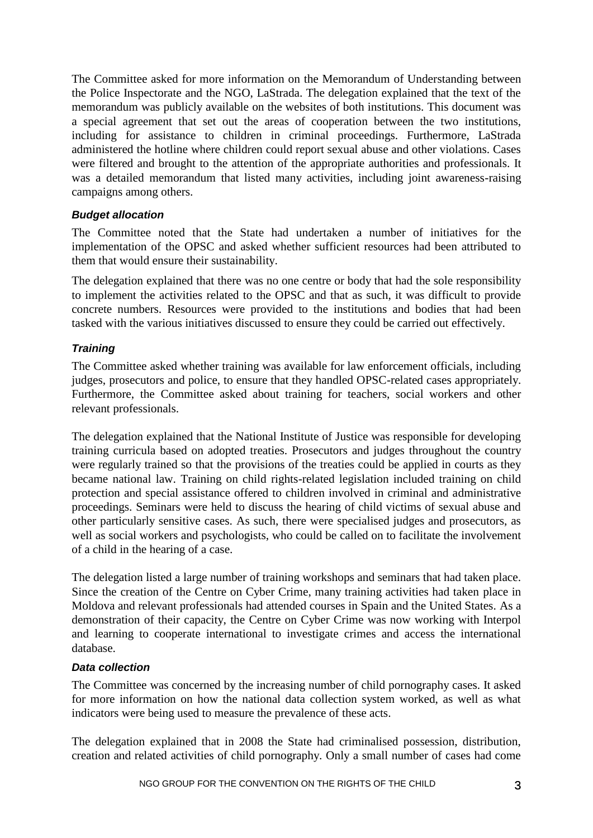The Committee asked for more information on the Memorandum of Understanding between the Police Inspectorate and the NGO, LaStrada. The delegation explained that the text of the memorandum was publicly available on the websites of both institutions. This document was a special agreement that set out the areas of cooperation between the two institutions, including for assistance to children in criminal proceedings. Furthermore, LaStrada administered the hotline where children could report sexual abuse and other violations. Cases were filtered and brought to the attention of the appropriate authorities and professionals. It was a detailed memorandum that listed many activities, including joint awareness-raising campaigns among others.

#### *Budget allocation*

The Committee noted that the State had undertaken a number of initiatives for the implementation of the OPSC and asked whether sufficient resources had been attributed to them that would ensure their sustainability.

The delegation explained that there was no one centre or body that had the sole responsibility to implement the activities related to the OPSC and that as such, it was difficult to provide concrete numbers. Resources were provided to the institutions and bodies that had been tasked with the various initiatives discussed to ensure they could be carried out effectively.

## *Training*

The Committee asked whether training was available for law enforcement officials, including judges, prosecutors and police, to ensure that they handled OPSC-related cases appropriately. Furthermore, the Committee asked about training for teachers, social workers and other relevant professionals.

The delegation explained that the National Institute of Justice was responsible for developing training curricula based on adopted treaties. Prosecutors and judges throughout the country were regularly trained so that the provisions of the treaties could be applied in courts as they became national law. Training on child rights-related legislation included training on child protection and special assistance offered to children involved in criminal and administrative proceedings. Seminars were held to discuss the hearing of child victims of sexual abuse and other particularly sensitive cases. As such, there were specialised judges and prosecutors, as well as social workers and psychologists, who could be called on to facilitate the involvement of a child in the hearing of a case.

The delegation listed a large number of training workshops and seminars that had taken place. Since the creation of the Centre on Cyber Crime, many training activities had taken place in Moldova and relevant professionals had attended courses in Spain and the United States. As a demonstration of their capacity, the Centre on Cyber Crime was now working with Interpol and learning to cooperate international to investigate crimes and access the international database.

#### <span id="page-2-0"></span>*Data collection*

The Committee was concerned by the increasing number of child pornography cases. It asked for more information on how the national data collection system worked, as well as what indicators were being used to measure the prevalence of these acts.

The delegation explained that in 2008 the State had criminalised possession, distribution, creation and related activities of child pornography. Only a small number of cases had come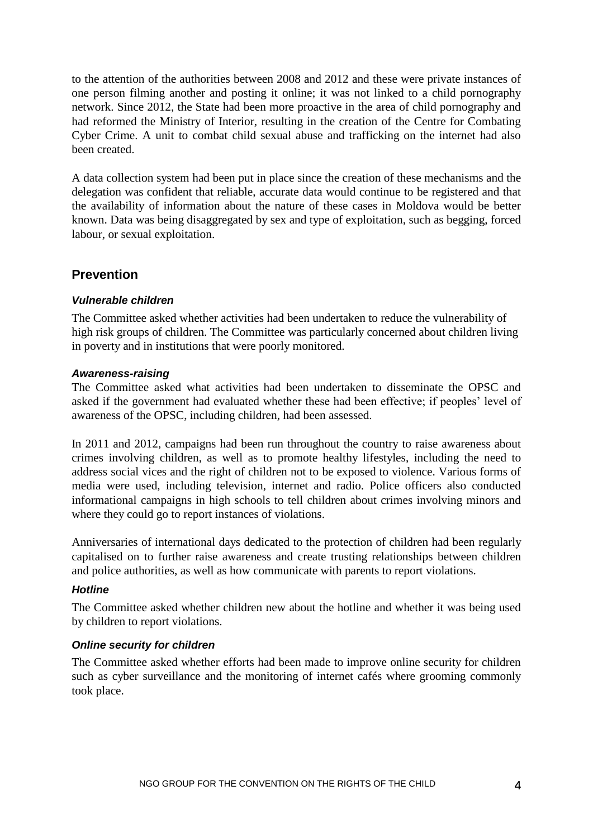to the attention of the authorities between 2008 and 2012 and these were private instances of one person filming another and posting it online; it was not linked to a child pornography network. Since 2012, the State had been more proactive in the area of child pornography and had reformed the Ministry of Interior, resulting in the creation of the Centre for Combating Cyber Crime. A unit to combat child sexual abuse and trafficking on the internet had also been created.

A data collection system had been put in place since the creation of these mechanisms and the delegation was confident that reliable, accurate data would continue to be registered and that the availability of information about the nature of these cases in Moldova would be better known. Data was being disaggregated by sex and type of exploitation, such as begging, forced labour, or sexual exploitation.

## **Prevention**

## *Vulnerable children*

The Committee asked whether activities had been undertaken to reduce the vulnerability of high risk groups of children. The Committee was particularly concerned about children living in poverty and in institutions that were poorly monitored.

#### *Awareness-raising*

The Committee asked what activities had been undertaken to disseminate the OPSC and asked if the government had evaluated whether these had been effective; if peoples' level of awareness of the OPSC, including children, had been assessed.

In 2011 and 2012, campaigns had been run throughout the country to raise awareness about crimes involving children, as well as to promote healthy lifestyles, including the need to address social vices and the right of children not to be exposed to violence. Various forms of media were used, including television, internet and radio. Police officers also conducted informational campaigns in high schools to tell children about crimes involving minors and where they could go to report instances of violations.

Anniversaries of international days dedicated to the protection of children had been regularly capitalised on to further raise awareness and create trusting relationships between children and police authorities, as well as how communicate with parents to report violations.

## *Hotline*

The Committee asked whether children new about the hotline and whether it was being used by children to report violations.

## *Online security for children*

The Committee asked whether efforts had been made to improve online security for children such as cyber surveillance and the monitoring of internet cafés where grooming commonly took place.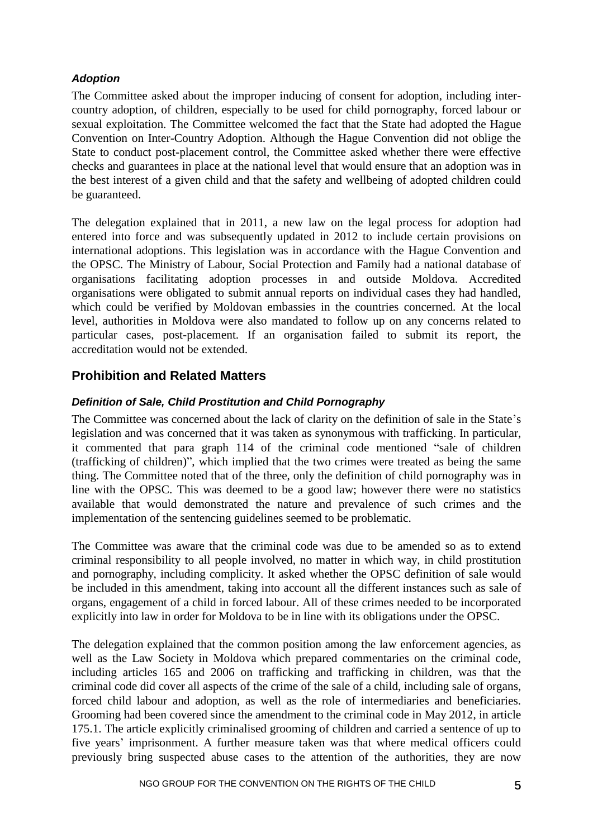#### *Adoption*

The Committee asked about the improper inducing of consent for adoption, including intercountry adoption, of children, especially to be used for child pornography, forced labour or sexual exploitation. The Committee welcomed the fact that the State had adopted the Hague Convention on Inter-Country Adoption. Although the Hague Convention did not oblige the State to conduct post-placement control, the Committee asked whether there were effective checks and guarantees in place at the national level that would ensure that an adoption was in the best interest of a given child and that the safety and wellbeing of adopted children could be guaranteed.

The delegation explained that in 2011, a new law on the legal process for adoption had entered into force and was subsequently updated in 2012 to include certain provisions on international adoptions. This legislation was in accordance with the Hague Convention and the OPSC. The Ministry of Labour, Social Protection and Family had a national database of organisations facilitating adoption processes in and outside Moldova. Accredited organisations were obligated to submit annual reports on individual cases they had handled, which could be verified by Moldovan embassies in the countries concerned. At the local level, authorities in Moldova were also mandated to follow up on any concerns related to particular cases, post-placement. If an organisation failed to submit its report, the accreditation would not be extended.

## <span id="page-4-0"></span>**Prohibition and Related Matters**

## *Definition of Sale, Child Prostitution and Child Pornography*

The Committee was concerned about the lack of clarity on the definition of sale in the State's legislation and was concerned that it was taken as synonymous with trafficking. In particular, it commented that para graph 114 of the criminal code mentioned "sale of children (trafficking of children)", which implied that the two crimes were treated as being the same thing. The Committee noted that of the three, only the definition of child pornography was in line with the OPSC. This was deemed to be a good law; however there were no statistics available that would demonstrated the nature and prevalence of such crimes and the implementation of the sentencing guidelines seemed to be problematic.

The Committee was aware that the criminal code was due to be amended so as to extend criminal responsibility to all people involved, no matter in which way, in child prostitution and pornography, including complicity. It asked whether the OPSC definition of sale would be included in this amendment, taking into account all the different instances such as sale of organs, engagement of a child in forced labour. All of these crimes needed to be incorporated explicitly into law in order for Moldova to be in line with its obligations under the OPSC.

The delegation explained that the common position among the law enforcement agencies, as well as the Law Society in Moldova which prepared commentaries on the criminal code, including articles 165 and 2006 on trafficking and trafficking in children, was that the criminal code did cover all aspects of the crime of the sale of a child, including sale of organs, forced child labour and adoption, as well as the role of intermediaries and beneficiaries. Grooming had been covered since the amendment to the criminal code in May 2012, in article 175.1. The article explicitly criminalised grooming of children and carried a sentence of up to five years' imprisonment. A further measure taken was that where medical officers could previously bring suspected abuse cases to the attention of the authorities, they are now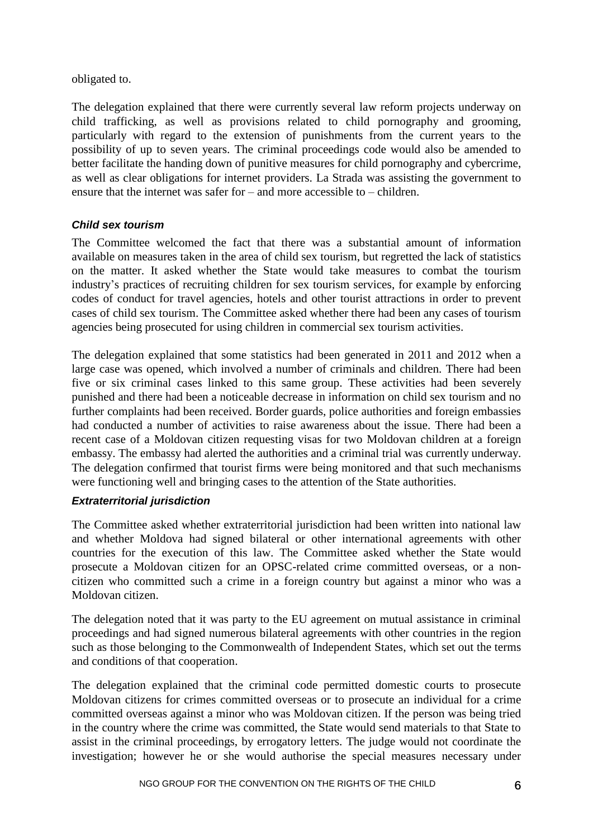obligated to.

The delegation explained that there were currently several law reform projects underway on child trafficking, as well as provisions related to child pornography and grooming, particularly with regard to the extension of punishments from the current years to the possibility of up to seven years. The criminal proceedings code would also be amended to better facilitate the handing down of punitive measures for child pornography and cybercrime, as well as clear obligations for internet providers. La Strada was assisting the government to ensure that the internet was safer for – and more accessible to – children.

## *Child sex tourism*

The Committee welcomed the fact that there was a substantial amount of information available on measures taken in the area of child sex tourism, but regretted the lack of statistics on the matter. It asked whether the State would take measures to combat the tourism industry's practices of recruiting children for sex tourism services, for example by enforcing codes of conduct for travel agencies, hotels and other tourist attractions in order to prevent cases of child sex tourism. The Committee asked whether there had been any cases of tourism agencies being prosecuted for using children in commercial sex tourism activities.

The delegation explained that some statistics had been generated in 2011 and 2012 when a large case was opened, which involved a number of criminals and children. There had been five or six criminal cases linked to this same group. These activities had been severely punished and there had been a noticeable decrease in information on child sex tourism and no further complaints had been received. Border guards, police authorities and foreign embassies had conducted a number of activities to raise awareness about the issue. There had been a recent case of a Moldovan citizen requesting visas for two Moldovan children at a foreign embassy. The embassy had alerted the authorities and a criminal trial was currently underway. The delegation confirmed that tourist firms were being monitored and that such mechanisms were functioning well and bringing cases to the attention of the State authorities.

## *Extraterritorial jurisdiction*

The Committee asked whether extraterritorial jurisdiction had been written into national law and whether Moldova had signed bilateral or other international agreements with other countries for the execution of this law. The Committee asked whether the State would prosecute a Moldovan citizen for an OPSC-related crime committed overseas, or a noncitizen who committed such a crime in a foreign country but against a minor who was a Moldovan citizen.

The delegation noted that it was party to the EU agreement on mutual assistance in criminal proceedings and had signed numerous bilateral agreements with other countries in the region such as those belonging to the Commonwealth of Independent States, which set out the terms and conditions of that cooperation.

The delegation explained that the criminal code permitted domestic courts to prosecute Moldovan citizens for crimes committed overseas or to prosecute an individual for a crime committed overseas against a minor who was Moldovan citizen. If the person was being tried in the country where the crime was committed, the State would send materials to that State to assist in the criminal proceedings, by errogatory letters. The judge would not coordinate the investigation; however he or she would authorise the special measures necessary under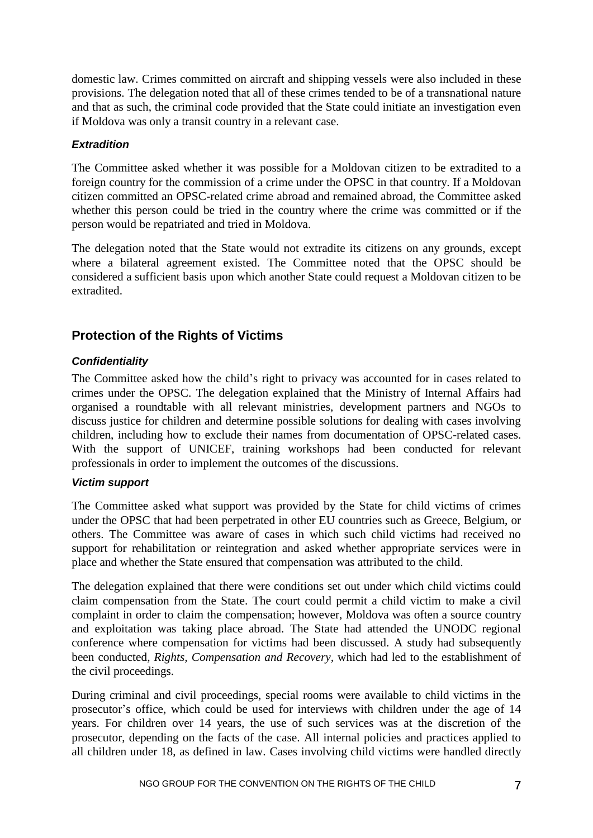domestic law. Crimes committed on aircraft and shipping vessels were also included in these provisions. The delegation noted that all of these crimes tended to be of a transnational nature and that as such, the criminal code provided that the State could initiate an investigation even if Moldova was only a transit country in a relevant case.

#### *Extradition*

The Committee asked whether it was possible for a Moldovan citizen to be extradited to a foreign country for the commission of a crime under the OPSC in that country. If a Moldovan citizen committed an OPSC-related crime abroad and remained abroad, the Committee asked whether this person could be tried in the country where the crime was committed or if the person would be repatriated and tried in Moldova.

The delegation noted that the State would not extradite its citizens on any grounds, except where a bilateral agreement existed. The Committee noted that the OPSC should be considered a sufficient basis upon which another State could request a Moldovan citizen to be extradited.

# <span id="page-6-0"></span>**Protection of the Rights of Victims**

## *Confidentiality*

The Committee asked how the child's right to privacy was accounted for in cases related to crimes under the OPSC. The delegation explained that the Ministry of Internal Affairs had organised a roundtable with all relevant ministries, development partners and NGOs to discuss justice for children and determine possible solutions for dealing with cases involving children, including how to exclude their names from documentation of OPSC-related cases. With the support of UNICEF, training workshops had been conducted for relevant professionals in order to implement the outcomes of the discussions.

#### *Victim support*

The Committee asked what support was provided by the State for child victims of crimes under the OPSC that had been perpetrated in other EU countries such as Greece, Belgium, or others. The Committee was aware of cases in which such child victims had received no support for rehabilitation or reintegration and asked whether appropriate services were in place and whether the State ensured that compensation was attributed to the child.

The delegation explained that there were conditions set out under which child victims could claim compensation from the State. The court could permit a child victim to make a civil complaint in order to claim the compensation; however, Moldova was often a source country and exploitation was taking place abroad. The State had attended the UNODC regional conference where compensation for victims had been discussed. A study had subsequently been conducted, *Rights, Compensation and Recovery,* which had led to the establishment of the civil proceedings.

During criminal and civil proceedings, special rooms were available to child victims in the prosecutor's office, which could be used for interviews with children under the age of 14 years. For children over 14 years, the use of such services was at the discretion of the prosecutor, depending on the facts of the case. All internal policies and practices applied to all children under 18, as defined in law. Cases involving child victims were handled directly